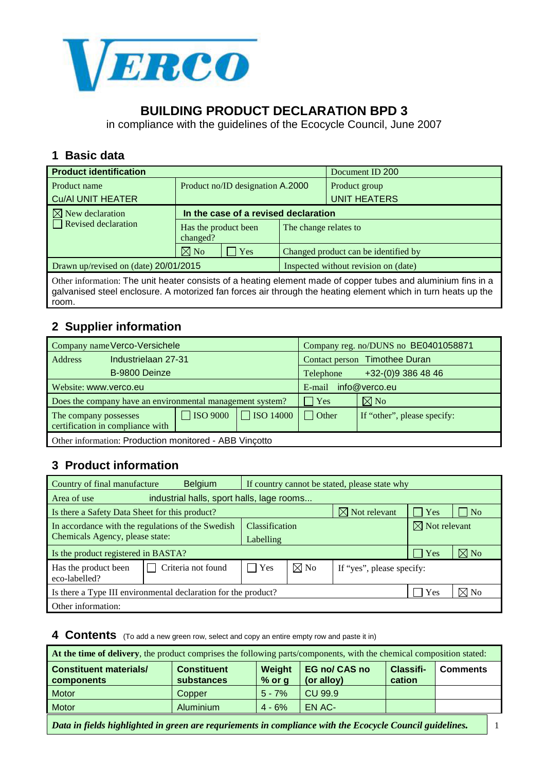

# **BUILDING PRODUCT DECLARATION BPD 3**

in compliance with the guidelines of the Ecocycle Council, June 2007

#### **1 Basic data**

| <b>Product identification</b>         |                                  |                                      | Document ID 200     |  |
|---------------------------------------|----------------------------------|--------------------------------------|---------------------|--|
| Product name                          | Product no/ID designation A.2000 |                                      | Product group       |  |
| <b>Cu/AI UNIT HEATER</b>              |                                  |                                      | <b>UNIT HEATERS</b> |  |
| $\boxtimes$ New declaration           |                                  | In the case of a revised declaration |                     |  |
| $\Box$ Revised declaration            | Has the product been<br>changed? | The change relates to                |                     |  |
|                                       | $\nabla$ No<br>$\vert$ Yes       | Changed product can be identified by |                     |  |
| Drawn up/revised on (date) 20/01/2015 |                                  | Inspected without revision on (date) |                     |  |
|                                       |                                  |                                      |                     |  |

Other information: The unit heater consists of a heating element made of copper tubes and aluminium fins in a galvanised steel enclosure. A motorized fan forces air through the heating element which in turn heats up the room.

### **2 Supplier information**

| Company name Verco-Versichele                          |                                                           |                 | Company reg. no/DUNS no BE0401058871 |                                 |                             |  |
|--------------------------------------------------------|-----------------------------------------------------------|-----------------|--------------------------------------|---------------------------------|-----------------------------|--|
| Address                                                | Industrielaan 27-31                                       |                 | Contact person Timothee Duran        |                                 |                             |  |
|                                                        | B-9800 Deinze                                             |                 |                                      | +32-(0)9 386 48 46<br>Telephone |                             |  |
| Website: www.verco.eu                                  |                                                           |                 | info@verco.eu<br>E-mail              |                                 |                             |  |
|                                                        | Does the company have an environmental management system? |                 |                                      | $\vert$ Yes                     | $\boxtimes$ No              |  |
| The company possesses                                  | certification in compliance with                          | $\Box$ ISO 9000 | $\Box$ ISO 14000                     | $\Box$ Other                    | If "other", please specify: |  |
| Other information: Production monitored - ABB Vincotto |                                                           |                 |                                      |                                 |                             |  |

### **3 Product information**

| Country of final manufacture                                               | <b>Belgium</b>     | If country cannot be stated, please state why |                       |                           |                          |                |
|----------------------------------------------------------------------------|--------------------|-----------------------------------------------|-----------------------|---------------------------|--------------------------|----------------|
| industrial halls, sport halls, lage rooms<br>Area of use                   |                    |                                               |                       |                           |                          |                |
| $\boxtimes$ Not relevant<br>Is there a Safety Data Sheet for this product? |                    |                                               |                       | $\blacksquare$ Yes        | $\overline{N_{0}}$       |                |
| In accordance with the regulations of the Swedish                          |                    |                                               | <b>Classification</b> |                           | $\boxtimes$ Not relevant |                |
| Chemicals Agency, please state:                                            |                    |                                               | Labelling             |                           |                          |                |
| Is the product registered in BASTA?                                        |                    |                                               |                       |                           | $\vert$ Yes              | $\boxtimes$ No |
| Has the product been<br>eco-labelled?                                      | Criteria not found | Yes                                           | $\boxtimes$ No        | If "yes", please specify: |                          |                |
| Is there a Type III environmental declaration for the product?             |                    |                                               |                       | Yes                       | $\boxtimes$ No           |                |
| Other information:                                                         |                    |                                               |                       |                           |                          |                |

**4 Contents** (To add a new green row, select and copy an entire empty row and paste it in)

| At the time of delivery, the product comprises the following parts/components, with the chemical composition stated: |                                         |                    |                                    |                     |                 |  |  |
|----------------------------------------------------------------------------------------------------------------------|-----------------------------------------|--------------------|------------------------------------|---------------------|-----------------|--|--|
| <b>Constituent materials/</b><br>components                                                                          | <b>Constituent</b><br><b>substances</b> | Weight<br>$%$ or g | <b>EG no/ CAS no</b><br>(or alloy) | Classifi-<br>cation | <b>Comments</b> |  |  |
| <b>Motor</b>                                                                                                         | Copper                                  | $5 - 7%$           | CU 99.9                            |                     |                 |  |  |
| Motor                                                                                                                | Aluminium                               | $4 - 6%$           | EN AC-                             |                     |                 |  |  |
| Data in fields highlighted in green are requriements in compliance with the Ecocycle Council guidelines.             |                                         |                    |                                    |                     |                 |  |  |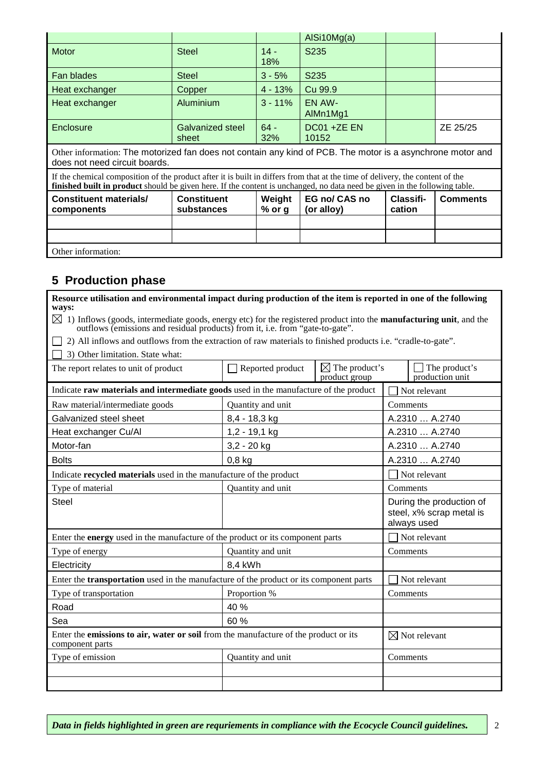|                                                                                                                                                                                                                                                             |                                  |                    | AISi10Mg(a)                 |                     |                 |  |  |
|-------------------------------------------------------------------------------------------------------------------------------------------------------------------------------------------------------------------------------------------------------------|----------------------------------|--------------------|-----------------------------|---------------------|-----------------|--|--|
| <b>Motor</b>                                                                                                                                                                                                                                                | <b>Steel</b>                     | $14 -$<br>18%      | S <sub>235</sub>            |                     |                 |  |  |
| Fan blades                                                                                                                                                                                                                                                  | <b>Steel</b>                     | $3 - 5%$           | S235                        |                     |                 |  |  |
| Heat exchanger                                                                                                                                                                                                                                              | Copper                           | $4 - 13%$          | Cu 99.9                     |                     |                 |  |  |
| Heat exchanger                                                                                                                                                                                                                                              | Aluminium                        | $3 - 11%$          | EN AW-<br>AlMn1Mg1          |                     |                 |  |  |
| Enclosure                                                                                                                                                                                                                                                   | Galvanized steel<br>sheet        | $64 -$<br>32%      | DC01 +ZE EN<br>10152        |                     | ZE 25/25        |  |  |
| Other information: The motorized fan does not contain any kind of PCB. The motor is a asynchrone motor and<br>does not need circuit boards.                                                                                                                 |                                  |                    |                             |                     |                 |  |  |
| If the chemical composition of the product after it is built in differs from that at the time of delivery, the content of the<br>finished built in product should be given here. If the content is unchanged, no data need be given in the following table. |                                  |                    |                             |                     |                 |  |  |
| <b>Constituent materials/</b><br>components                                                                                                                                                                                                                 | <b>Constituent</b><br>substances | Weight<br>$%$ or g | EG no/ CAS no<br>(or alloy) | Classifi-<br>cation | <b>Comments</b> |  |  |
|                                                                                                                                                                                                                                                             |                                  |                    |                             |                     |                 |  |  |
|                                                                                                                                                                                                                                                             |                                  |                    |                             |                     |                 |  |  |
| Other information:                                                                                                                                                                                                                                          |                                  |                    |                             |                     |                 |  |  |

# **5 Production phase**

| Resource utilisation and environmental impact during production of the item is reported in one of the following<br>ways:                                                                                                |                   |                                            |                                                                     |  |
|-------------------------------------------------------------------------------------------------------------------------------------------------------------------------------------------------------------------------|-------------------|--------------------------------------------|---------------------------------------------------------------------|--|
| $\boxtimes$ 1) Inflows (goods, intermediate goods, energy etc) for the registered product into the <b>manufacturing unit</b> , and the<br>outflows (emissions and residual products) from it, i.e. from "gate-to-gate". |                   |                                            |                                                                     |  |
| 2) All inflows and outflows from the extraction of raw materials to finished products i.e. "cradle-to-gate".                                                                                                            |                   |                                            |                                                                     |  |
| 3) Other limitation. State what:                                                                                                                                                                                        |                   |                                            |                                                                     |  |
| The report relates to unit of product                                                                                                                                                                                   | Reported product  | $\boxtimes$ The product's<br>product group | The product's<br>production unit                                    |  |
| Indicate raw materials and intermediate goods used in the manufacture of the product                                                                                                                                    |                   |                                            | Not relevant                                                        |  |
| Raw material/intermediate goods                                                                                                                                                                                         | Quantity and unit |                                            | Comments                                                            |  |
| Galvanized steel sheet                                                                                                                                                                                                  | 8,4 - 18,3 kg     |                                            | A.2310  A.2740                                                      |  |
| Heat exchanger Cu/Al                                                                                                                                                                                                    | $1,2 - 19,1$ kg   |                                            | A.2310  A.2740                                                      |  |
| Motor-fan                                                                                                                                                                                                               | $3,2 - 20$ kg     |                                            | A.2310  A.2740                                                      |  |
| <b>Bolts</b>                                                                                                                                                                                                            | $0,8$ kg          |                                            | A.2310  A.2740                                                      |  |
| Indicate recycled materials used in the manufacture of the product                                                                                                                                                      | Not relevant      |                                            |                                                                     |  |
| Type of material                                                                                                                                                                                                        | Quantity and unit |                                            | Comments                                                            |  |
| <b>Steel</b>                                                                                                                                                                                                            |                   |                                            | During the production of<br>steel, x% scrap metal is<br>always used |  |
| Enter the <b>energy</b> used in the manufacture of the product or its component parts                                                                                                                                   |                   |                                            | Not relevant                                                        |  |
| Type of energy                                                                                                                                                                                                          | Quantity and unit |                                            | Comments                                                            |  |
| Electricity                                                                                                                                                                                                             | 8,4 kWh           |                                            |                                                                     |  |
| Enter the <b>transportation</b> used in the manufacture of the product or its component parts                                                                                                                           |                   |                                            | Not relevant                                                        |  |
| Type of transportation                                                                                                                                                                                                  | Proportion %      |                                            | Comments                                                            |  |
| Road                                                                                                                                                                                                                    | 40 %              |                                            |                                                                     |  |
| Sea                                                                                                                                                                                                                     | 60 %              |                                            |                                                                     |  |
| Enter the emissions to air, water or soil from the manufacture of the product or its<br>component parts                                                                                                                 |                   |                                            | $\boxtimes$ Not relevant                                            |  |
| Type of emission                                                                                                                                                                                                        | Quantity and unit |                                            | Comments                                                            |  |
|                                                                                                                                                                                                                         |                   |                                            |                                                                     |  |
|                                                                                                                                                                                                                         |                   |                                            |                                                                     |  |

٦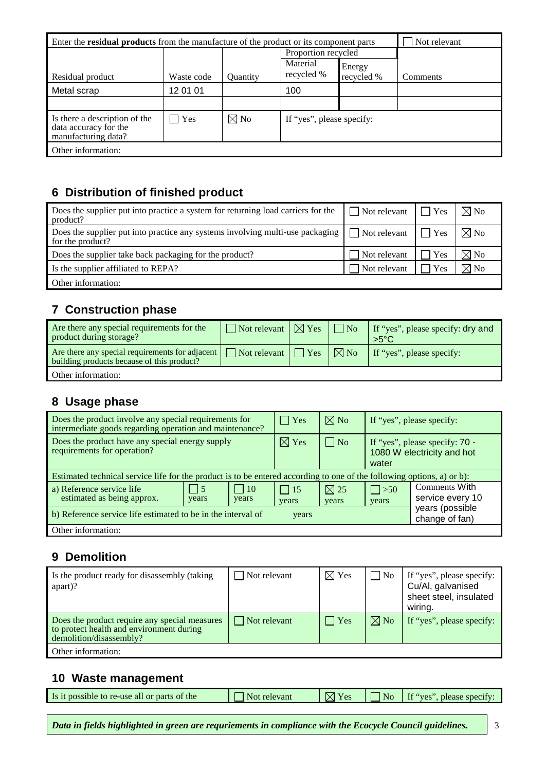| Enter the <b>residual products</b> from the manufacture of the product or its component parts | Not relevant |                 |                           |                      |          |
|-----------------------------------------------------------------------------------------------|--------------|-----------------|---------------------------|----------------------|----------|
|                                                                                               |              |                 | Proportion recycled       |                      |          |
| Residual product                                                                              | Waste code   | <b>Ouantity</b> | Material<br>recycled %    | Energy<br>recycled % | Comments |
| Metal scrap                                                                                   | 12 01 01     |                 | 100                       |                      |          |
|                                                                                               |              |                 |                           |                      |          |
| Is there a description of the<br>data accuracy for the<br>manufacturing data?                 | Yes          | $\boxtimes$ No  | If "yes", please specify: |                      |          |
| Other information:                                                                            |              |                 |                           |                      |          |

## **6 Distribution of finished product**

| Does the supplier put into practice a system for returning load carriers for the<br>product?        | $\Box$ Not relevant    | Yes                | $\boxtimes$ No |
|-----------------------------------------------------------------------------------------------------|------------------------|--------------------|----------------|
| Does the supplier put into practice any systems involving multi-use packaging  <br>for the product? | $\bigcap$ Not relevant | $\blacksquare$ Yes | $\boxtimes$ No |
| Does the supplier take back packaging for the product?                                              | Not relevant           | <b>Yes</b>         | $\boxtimes$ No |
| Is the supplier affiliated to REPA?                                                                 | Not relevant           | <b>Yes</b>         | $\boxtimes$ No |
| Other information:                                                                                  |                        |                    |                |

## **7 Construction phase**

| Are there any special requirements for the<br>product during storage?                           | $\Box$ Not relevant $\Box$ Yes $\Box$ No |                | If "yes", please specify: dry and<br>$>5^{\circ}C$ |
|-------------------------------------------------------------------------------------------------|------------------------------------------|----------------|----------------------------------------------------|
| Are there any special requirements for adjacent  <br>building products because of this product? | $\Box$ Not relevant $\Box$ Yes           | $\boxtimes$ No | If "yes", please specify:                          |
| Other information:                                                                              |                                          |                |                                                    |

# **8 Usage phase**

| Does the product involve any special requirements for<br>intermediate goods regarding operation and maintenance?       |                         |                       | $ $ Yes             | $\nabla$ No                       |                                                                       | If "yes", please specify:         |
|------------------------------------------------------------------------------------------------------------------------|-------------------------|-----------------------|---------------------|-----------------------------------|-----------------------------------------------------------------------|-----------------------------------|
| Does the product have any special energy supply<br>requirements for operation?                                         |                         |                       | $\boxtimes$ Yes     | $\Box$ No                         | If "yes", please specify: 70 -<br>1080 W electricity and hot<br>water |                                   |
| Estimated technical service life for the product is to be entered according to one of the following options, a) or b): |                         |                       |                     |                                   |                                                                       |                                   |
| a) Reference service life<br>estimated as being approx.                                                                | $\overline{5}$<br>years | $\vert$   10<br>years | $\vert$ 15<br>years | $\boxtimes$ 25<br>years           | $\vert \vert > 50$<br>years                                           | Comments With<br>service every 10 |
| b) Reference service life estimated to be in the interval of                                                           | years                   |                       |                     | years (possible<br>change of fan) |                                                                       |                                   |
| Other information:                                                                                                     |                         |                       |                     |                                   |                                                                       |                                   |

### **9 Demolition**

| Is the product ready for disassembly (taking<br>apart)?                                                              | Not relevant         | $\boxtimes$ Yes | $\overline{N_{0}}$ | If "yes", please specify:<br>Cu/Al, galvanised<br>sheet steel, insulated<br>wiring. |
|----------------------------------------------------------------------------------------------------------------------|----------------------|-----------------|--------------------|-------------------------------------------------------------------------------------|
| Does the product require any special measures<br>to protect health and environment during<br>demolition/disassembly? | $\vert$ Not relevant | $  \ \  $ Yes   | $\boxtimes$ No     | If "yes", please specify:                                                           |
| Other information:                                                                                                   |                      |                 |                    |                                                                                     |

### **10 Waste management**

| Is it possible to re-use all or parts of the | relevant<br>Not. | M<br>$V_{\rm ES}$ | <b>No</b> | $\mathbf{H}^{\alpha}$<br>please specify:<br>'ves |
|----------------------------------------------|------------------|-------------------|-----------|--------------------------------------------------|
|                                              |                  |                   |           |                                                  |

*Data in fields highlighted in green are requriements in compliance with the Ecocycle Council guidelines.* 3